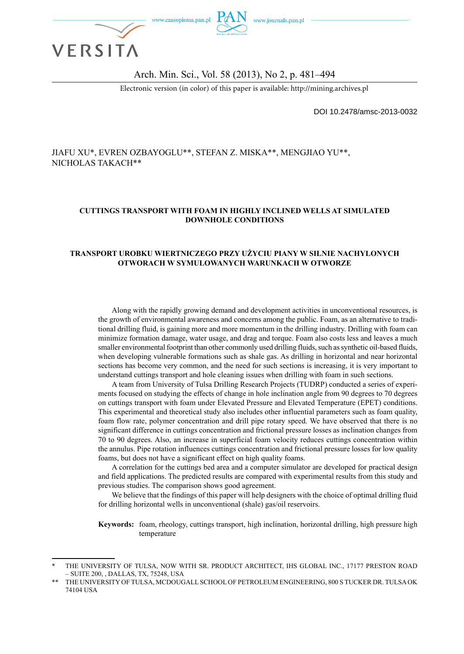

#### Arch. Min. Sci., Vol. 58 (2013), No 2, p. 481–494

Electronic version (in color) of this paper is available: http://mining.archives.pl

DOI 10.2478/amsc-2013-0032

#### JIAFU XU\*, EVREN OZBAYOGLU\*\*, STEFAN Z. MISKA\*\*, MENGJIAO YU\*\*, NICHOLAS TAKACH\*\*

#### **CUTTINGS TRANSPORT WITH FOAM IN HIGHLY INCLINED WELLS AT SIMULATED DOWNHOLE CONDITIONS**

#### **TRANSPORT UROBKU WIERTNICZEGO PRZY UŻYCIU PIANY W SILNIE NACHYLONYCH OTWORACH W SYMULOWANYCH WARUNKACH W OTWORZE**

Along with the rapidly growing demand and development activities in unconventional resources, is the growth of environmental awareness and concerns among the public. Foam, as an alternative to traditional drilling fluid, is gaining more and more momentum in the drilling industry. Drilling with foam can minimize formation damage, water usage, and drag and torque. Foam also costs less and leaves a much smaller environmental footprint than other commonly used drilling fluids, such as synthetic oil-based fluids, when developing vulnerable formations such as shale gas. As drilling in horizontal and near horizontal sections has become very common, and the need for such sections is increasing, it is very important to understand cuttings transport and hole cleaning issues when drilling with foam in such sections.

A team from University of Tulsa Drilling Research Projects (TUDRP) conducted a series of experiments focused on studying the effects of change in hole inclination angle from 90 degrees to 70 degrees on cuttings transport with foam under Elevated Pressure and Elevated Temperature (EPET) conditions. This experimental and theoretical study also includes other influential parameters such as foam quality, foam flow rate, polymer concentration and drill pipe rotary speed. We have observed that there is no significant difference in cuttings concentration and frictional pressure losses as inclination changes from 70 to 90 degrees. Also, an increase in superficial foam velocity reduces cuttings concentration within the annulus. Pipe rotation influences cuttings concentration and frictional pressure losses for low quality foams, but does not have a significant effect on high quality foams.

A correlation for the cuttings bed area and a computer simulator are developed for practical design and field applications. The predicted results are compared with experimental results from this study and previous studies. The comparison shows good agreement.

We believe that the findings of this paper will help designers with the choice of optimal drilling fluid for drilling horizontal wells in unconventional (shale) gas/oil reservoirs.

**Keywords:** foam, rheology, cuttings transport, high inclination, horizontal drilling, high pressure high temperature

THE UNIVERSITY OF TULSA, NOW WITH SR. PRODUCT ARCHITECT, IHS GLOBAL INC., 17177 PRESTON ROAD – SUITE 200, , DALLAS, TX, 75248, USA

THE UNIVERSITY OF TULSA, MCDOUGALL SCHOOL OF PETROLEUM ENGINEERING, 800 S TUCKER DR. TULSA OK 74104 USA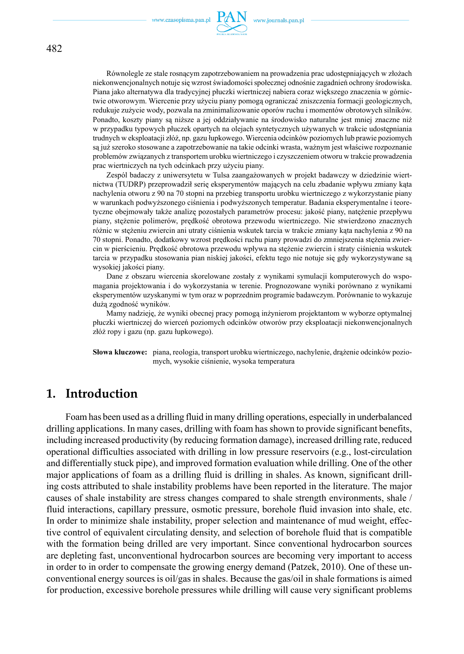

Równolegle ze stale rosnącym zapotrzebowaniem na prowadzenia prac udostępniających w złożach niekonwencjonalnych notuje się wzrost świadomości społecznej odnośnie zagadnień ochrony środowiska. Piana jako alternatywa dla tradycyjnej płuczki wiertniczej nabiera coraz większego znaczenia w górnictwie otworowym. Wiercenie przy użyciu piany pomogą ograniczać zniszczenia formacji geologicznych, redukuje zużycie wody, pozwala na zminimalizowanie oporów ruchu i momentów obrotowych silników. Ponadto, koszty piany są niższe a jej oddziaływanie na środowisko naturalne jest mniej znaczne niż w przypadku typowych płuczek opartych na olejach syntetycznych używanych w trakcie udostępniania trudnych w eksploatacji złóż, np. gazu łupkowego. Wiercenia odcinków poziomych lub prawie poziomych są już szeroko stosowane a zapotrzebowanie na takie odcinki wrasta, ważnym jest właściwe rozpoznanie problemów związanych z transportem urobku wiertniczego i czyszczeniem otworu w trakcie prowadzenia prac wiertniczych na tych odcinkach przy użyciu piany.

Zespól badaczy z uniwersytetu w Tulsa zaangażowanych w projekt badawczy w dziedzinie wiertnictwa (TUDRP) przeprowadził serię eksperymentów mających na celu zbadanie wpływu zmiany kąta nachylenia otworu z 90 na 70 stopni na przebieg transportu urobku wiertniczego z wykorzystanie piany w warunkach podwyższonego ciśnienia i podwyższonych temperatur. Badania eksperymentalne i teoretyczne obejmowały także analizę pozostałych parametrów procesu: jakość piany, natężenie przepływu piany, stężenie polimerów, prędkość obrotowa przewodu wiertniczego. Nie stwierdzono znacznych różnic w stężeniu zwiercin ani utraty ciśnienia wskutek tarcia w trakcie zmiany kąta nachylenia z 90 na 70 stopni. Ponadto, dodatkowy wzrost prędkości ruchu piany prowadzi do zmniejszenia stężenia zwiercin w pierścieniu. Prędkość obrotowa przewodu wpływa na stężenie zwiercin i straty ciśnienia wskutek tarcia w przypadku stosowania pian niskiej jakości, efektu tego nie notuje się gdy wykorzystywane są wysokiej jakości piany.

Dane z obszaru wiercenia skorelowane zostały z wynikami symulacji komputerowych do wspomagania projektowania i do wykorzystania w terenie. Prognozowane wyniki porównano z wynikami eksperymentów uzyskanymi w tym oraz w poprzednim programie badawczym. Porównanie to wykazuje dużą zgodność wyników.

Mamy nadzieję, że wyniki obecnej pracy pomogą inżynierom projektantom w wyborze optymalnej płuczki wiertniczej do wierceń poziomych odcinków otworów przy eksploatacji niekonwencjonalnych złóż ropy i gazu (np. gazu łupkowego).

**Słowa kluczowe:** piana, reologia, transport urobku wiertniczego, nachylenie, drążenie odcinków poziomych, wysokie ciśnienie, wysoka temperatura

## **1. Introduction**

Foam has been used as a drilling fluid in many drilling operations, especially in underbalanced drilling applications. In many cases, drilling with foam has shown to provide significant benefits, including increased productivity (by reducing formation damage), increased drilling rate, reduced operational difficulties associated with drilling in low pressure reservoirs (e.g., lost-circulation and differentially stuck pipe), and improved formation evaluation while drilling. One of the other major applications of foam as a drilling fluid is drilling in shales. As known, significant drilling costs attributed to shale instability problems have been reported in the literature. The major causes of shale instability are stress changes compared to shale strength environments, shale / fluid interactions, capillary pressure, osmotic pressure, borehole fluid invasion into shale, etc. In order to minimize shale instability, proper selection and maintenance of mud weight, effective control of equivalent circulating density, and selection of borehole fluid that is compatible with the formation being drilled are very important. Since conventional hydrocarbon sources are depleting fast, unconventional hydrocarbon sources are becoming very important to access in order to in order to compensate the growing energy demand (Patzek, 2010). One of these unconventional energy sources is oil/gas in shales. Because the gas/oil in shale formations is aimed for production, excessive borehole pressures while drilling will cause very significant problems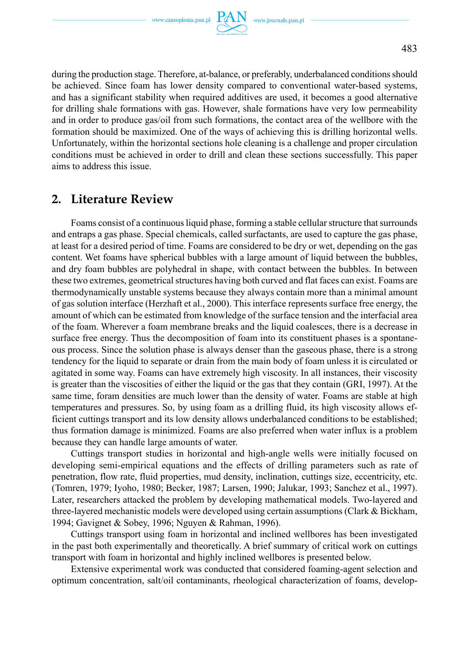during the production stage. Therefore, at-balance, or preferably, underbalanced conditions should be achieved. Since foam has lower density compared to conventional water-based systems, and has a significant stability when required additives are used, it becomes a good alternative for drilling shale formations with gas. However, shale formations have very low permeability and in order to produce gas/oil from such formations, the contact area of the wellbore with the formation should be maximized. One of the ways of achieving this is drilling horizontal wells. Unfortunately, within the horizontal sections hole cleaning is a challenge and proper circulation conditions must be achieved in order to drill and clean these sections successfully. This paper aims to address this issue.

## **2. Literature Review**

Foams consist of a continuous liquid phase, forming a stable cellular structure that surrounds and entraps a gas phase. Special chemicals, called surfactants, are used to capture the gas phase, at least for a desired period of time. Foams are considered to be dry or wet, depending on the gas content. Wet foams have spherical bubbles with a large amount of liquid between the bubbles, and dry foam bubbles are polyhedral in shape, with contact between the bubbles. In between these two extremes, geometrical structures having both curved and flat faces can exist. Foams are thermodynamically unstable systems because they always contain more than a minimal amount of gas solution interface (Herzhaft et al., 2000). This interface represents surface free energy, the amount of which can be estimated from knowledge of the surface tension and the interfacial area of the foam. Wherever a foam membrane breaks and the liquid coalesces, there is a decrease in surface free energy. Thus the decomposition of foam into its constituent phases is a spontaneous process. Since the solution phase is always denser than the gaseous phase, there is a strong tendency for the liquid to separate or drain from the main body of foam unless it is circulated or agitated in some way. Foams can have extremely high viscosity. In all instances, their viscosity is greater than the viscosities of either the liquid or the gas that they contain (GRI, 1997). At the same time, foram densities are much lower than the density of water. Foams are stable at high temperatures and pressures. So, by using foam as a drilling fluid, its high viscosity allows efficient cuttings transport and its low density allows underbalanced conditions to be established; thus formation damage is minimized. Foams are also preferred when water influx is a problem because they can handle large amounts of water.

Cuttings transport studies in horizontal and high-angle wells were initially focused on developing semi-empirical equations and the effects of drilling parameters such as rate of penetration, flow rate, fluid properties, mud density, inclination, cuttings size, eccentricity, etc. (Tomren, 1979; Iyoho, 1980; Becker, 1987; Larsen, 1990; Jalukar, 1993; Sanchez et al., 1997). Later, researchers attacked the problem by developing mathematical models. Two-layered and three-layered mechanistic models were developed using certain assumptions (Clark & Bickham, 1994; Gavignet & Sobey, 1996; Nguyen & Rahman, 1996).

Cuttings transport using foam in horizontal and inclined wellbores has been investigated in the past both experimentally and theoretically. A brief summary of critical work on cuttings transport with foam in horizontal and highly inclined wellbores is presented below.

Extensive experimental work was conducted that considered foaming-agent selection and optimum concentration, salt/oil contaminants, rheological characterization of foams, develop-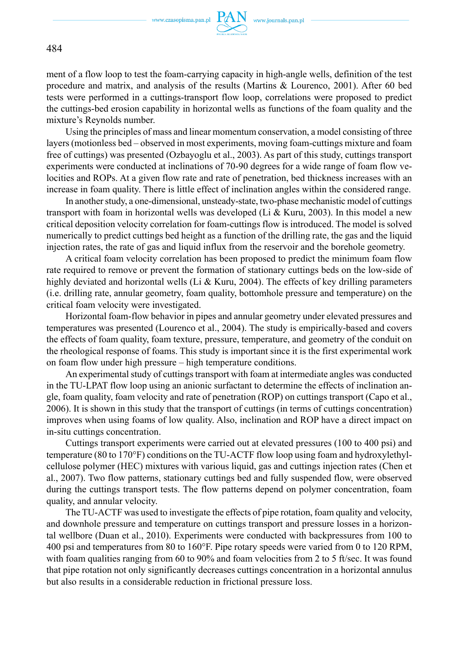

ment of a flow loop to test the foam-carrying capacity in high-angle wells, definition of the test procedure and matrix, and analysis of the results (Martins & Lourenco, 2001). After 60 bed tests were performed in a cuttings-transport flow loop, correlations were proposed to predict the cuttings-bed erosion capability in horizontal wells as functions of the foam quality and the mixture's Reynolds number.

Using the principles of mass and linear momentum conservation, a model consisting of three layers (motionless bed – observed in most experiments, moving foam-cuttings mixture and foam free of cuttings) was presented (Ozbayoglu et al., 2003). As part of this study, cuttings transport experiments were conducted at inclinations of 70-90 degrees for a wide range of foam flow velocities and ROPs. At a given flow rate and rate of penetration, bed thickness increases with an increase in foam quality. There is little effect of inclination angles within the considered range.

In another study, a one-dimensional, unsteady-state, two-phase mechanistic model of cuttings transport with foam in horizontal wells was developed (Li & Kuru, 2003). In this model a new critical deposition velocity correlation for foam-cuttings flow is introduced. The model is solved numerically to predict cuttings bed height as a function of the drilling rate, the gas and the liquid injection rates, the rate of gas and liquid influx from the reservoir and the borehole geometry.

A critical foam velocity correlation has been proposed to predict the minimum foam flow rate required to remove or prevent the formation of stationary cuttings beds on the low-side of highly deviated and horizontal wells (Li & Kuru, 2004). The effects of key drilling parameters (i.e. drilling rate, annular geometry, foam quality, bottomhole pressure and temperature) on the critical foam velocity were investigated.

Horizontal foam-flow behavior in pipes and annular geometry under elevated pressures and temperatures was presented (Lourenco et al., 2004). The study is empirically-based and covers the effects of foam quality, foam texture, pressure, temperature, and geometry of the conduit on the rheological response of foams. This study is important since it is the first experimental work on foam flow under high pressure – high temperature conditions.

An experimental study of cuttings transport with foam at intermediate angles was conducted in the TU-LPAT flow loop using an anionic surfactant to determine the effects of inclination angle, foam quality, foam velocity and rate of penetration (ROP) on cuttings transport (Capo et al., 2006). It is shown in this study that the transport of cuttings (in terms of cuttings concentration) improves when using foams of low quality. Also, inclination and ROP have a direct impact on in-situ cuttings concentration.

Cuttings transport experiments were carried out at elevated pressures (100 to 400 psi) and temperature (80 to 170°F) conditions on the TU-ACTF flow loop using foam and hydroxylethylcellulose polymer (HEC) mixtures with various liquid, gas and cuttings injection rates (Chen et al., 2007). Two flow patterns, stationary cuttings bed and fully suspended flow, were observed during the cuttings transport tests. The flow patterns depend on polymer concentration, foam quality, and annular velocity.

The TU-ACTF was used to investigate the effects of pipe rotation, foam quality and velocity, and downhole pressure and temperature on cuttings transport and pressure losses in a horizontal wellbore (Duan et al., 2010). Experiments were conducted with backpressures from 100 to 400 psi and temperatures from 80 to 160°F. Pipe rotary speeds were varied from 0 to 120 RPM, with foam qualities ranging from 60 to 90% and foam velocities from 2 to 5 ft/sec. It was found that pipe rotation not only significantly decreases cuttings concentration in a horizontal annulus but also results in a considerable reduction in frictional pressure loss.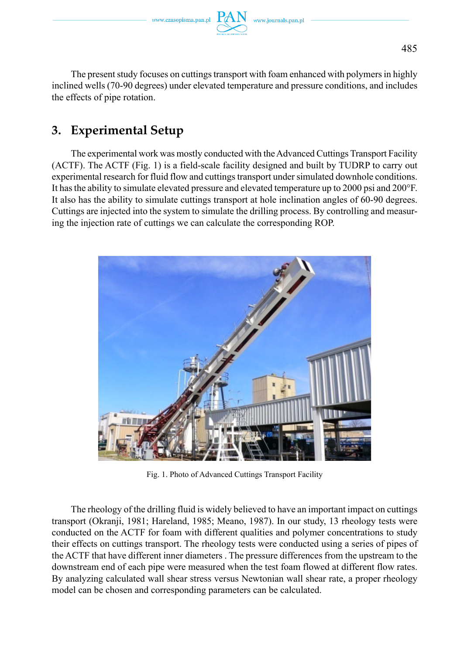www.czasopisma.pan.pl  $\Gamma$ 

The present study focuses on cuttings transport with foam enhanced with polymers in highly inclined wells (70-90 degrees) under elevated temperature and pressure conditions, and includes the effects of pipe rotation.

# **3. Experimental Setup**

The experimental work was mostly conducted with the Advanced Cuttings Transport Facility (ACTF). The ACTF (Fig. 1) is a field-scale facility designed and built by TUDRP to carry out experimental research for fluid flow and cuttings transport under simulated downhole conditions. It has the ability to simulate elevated pressure and elevated temperature up to 2000 psi and 200°F. It also has the ability to simulate cuttings transport at hole inclination angles of 60-90 degrees. Cuttings are injected into the system to simulate the drilling process. By controlling and measuring the injection rate of cuttings we can calculate the corresponding ROP.



Fig. 1. Photo of Advanced Cuttings Transport Facility

The rheology of the drilling fluid is widely believed to have an important impact on cuttings transport (Okranji, 1981; Hareland, 1985; Meano, 1987). In our study, 13 rheology tests were conducted on the ACTF for foam with different qualities and polymer concentrations to study their effects on cuttings transport. The rheology tests were conducted using a series of pipes of the ACTF that have different inner diameters . The pressure differences from the upstream to the downstream end of each pipe were measured when the test foam flowed at different flow rates. By analyzing calculated wall shear stress versus Newtonian wall shear rate, a proper rheology model can be chosen and corresponding parameters can be calculated.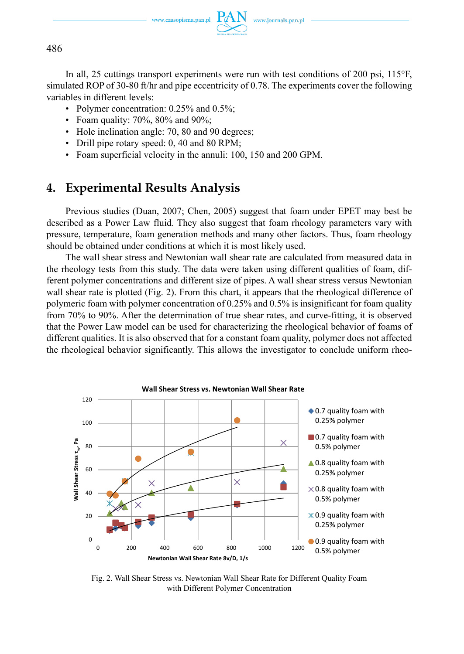www.czasopisma.pan.pl



486

In all, 25 cuttings transport experiments were run with test conditions of 200 psi, 115°F, simulated ROP of 30-80 ft/hr and pipe eccentricity of 0.78. The experiments cover the following variables in different levels:

- Polymer concentration: 0.25% and 0.5%;
- Foam quality: 70%, 80% and 90%;
- Hole inclination angle: 70, 80 and 90 degrees;
- Drill pipe rotary speed: 0, 40 and 80 RPM;
- Foam superficial velocity in the annuli: 100, 150 and 200 GPM.

## **4. Experimental Results Analysis**

Previous studies (Duan, 2007; Chen, 2005) suggest that foam under EPET may best be described as a Power Law fluid. They also suggest that foam rheology parameters vary with pressure, temperature, foam generation methods and many other factors. Thus, foam rheology should be obtained under conditions at which it is most likely used.

The wall shear stress and Newtonian wall shear rate are calculated from measured data in the rheology tests from this study. The data were taken using different qualities of foam, different polymer concentrations and different size of pipes. A wall shear stress versus Newtonian wall shear rate is plotted (Fig. 2). From this chart, it appears that the rheological difference of polymeric foam with polymer concentration of 0.25% and 0.5% is insignificant for foam quality from 70% to 90%. After the determination of true shear rates, and curve-fitting, it is observed that the Power Law model can be used for characterizing the rheological behavior of foams of different qualities. It is also observed that for a constant foam quality, polymer does not affected the rheological behavior significantly. This allows the investigator to conclude uniform rheo-



Fig. 2. Wall Shear Stress vs. Newtonian Wall Shear Rate for Different Quality Foam with Different Polymer Concentration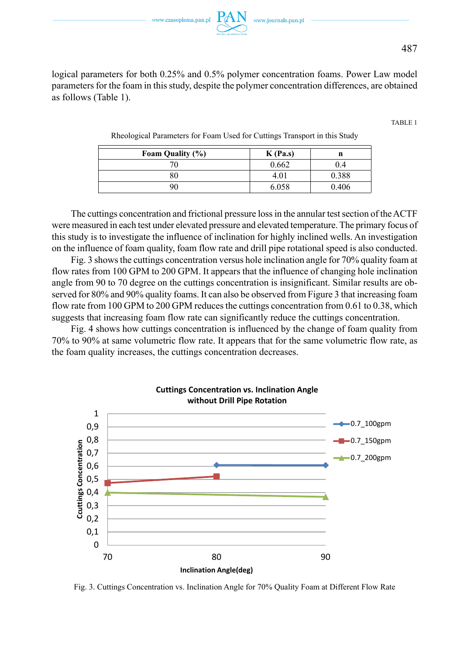

logical parameters for both 0.25% and 0.5% polymer concentration foams. Power Law model parameters for the foam in this study, despite the polymer concentration differences, are obtained as follows (Table 1).

TABLE 1

Rheological Parameters for Foam Used for Cuttings Transport in this Study

| Foam Quality (%) | $K$ (Pa.s) | n     |
|------------------|------------|-------|
| 70               | 0.662      | 0.4   |
| 80               | 4.01       | 0.388 |
| 90               | 6.058      | 0.406 |

The cuttings concentration and frictional pressure loss in the annular test section of the ACTF were measured in each test under elevated pressure and elevated temperature. The primary focus of this study is to investigate the influence of inclination for highly inclined wells. An investigation on the influence of foam quality, foam flow rate and drill pipe rotational speed is also conducted.

Fig. 3 shows the cuttings concentration versus hole inclination angle for 70% quality foam at flow rates from 100 GPM to 200 GPM. It appears that the influence of changing hole inclination angle from 90 to 70 degree on the cuttings concentration is insignificant. Similar results are observed for 80% and 90% quality foams. It can also be observed from Figure 3 that increasing foam flow rate from 100 GPM to 200 GPM reduces the cuttings concentration from 0.61 to 0.38, which suggests that increasing foam flow rate can significantly reduce the cuttings concentration.

Fig. 4 shows how cuttings concentration is influenced by the change of foam quality from 70% to 90% at same volumetric flow rate. It appears that for the same volumetric flow rate, as the foam quality increases, the cuttings concentration decreases.



Fig. 3. Cuttings Concentration vs. Inclination Angle for 70% Quality Foam at Different Flow Rate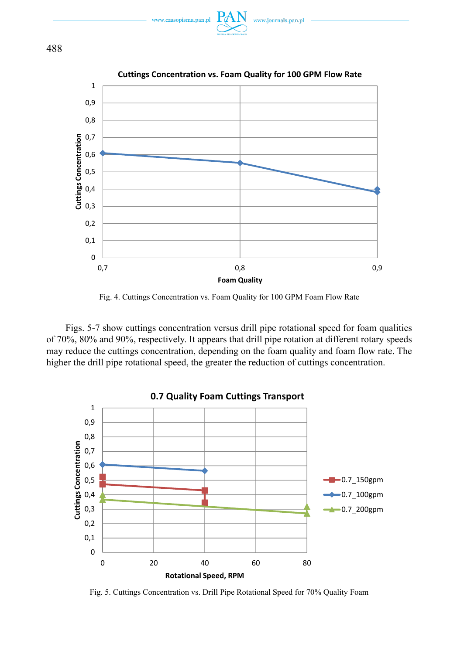





Fig. 4. Cuttings Concentration vs. Foam Quality for 100 GPM Foam Flow Rate

 $0,8$  0,9

**Foam Quality**

Figs. 5-7 show cuttings concentration versus drill pipe rotational speed for foam qualities of 70%, 80% and 90%, respectively. It appears that drill pipe rotation at different rotary speeds may reduce the cuttings concentration, depending on the foam quality and foam flow rate. The higher the drill pipe rotational speed, the greater the reduction of cuttings concentration.



Fig. 5. Cuttings Concentration vs. Drill Pipe Rotational Speed for 70% Quality Foam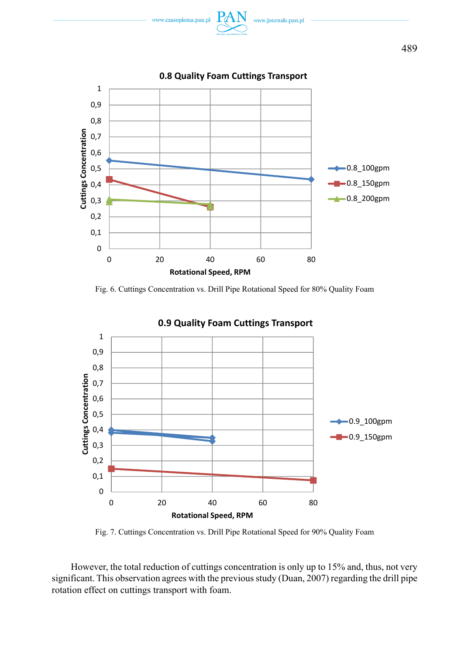



Fig. 6. Cuttings Concentration vs. Drill Pipe Rotational Speed for 80% Quality Foam



Fig. 7. Cuttings Concentration vs. Drill Pipe Rotational Speed for 90% Quality Foam

However, the total reduction of cuttings concentration is only up to 15% and, thus, not very significant. This observation agrees with the previous study (Duan, 2007) regarding the drill pipe rotation effect on cuttings transport with foam.

489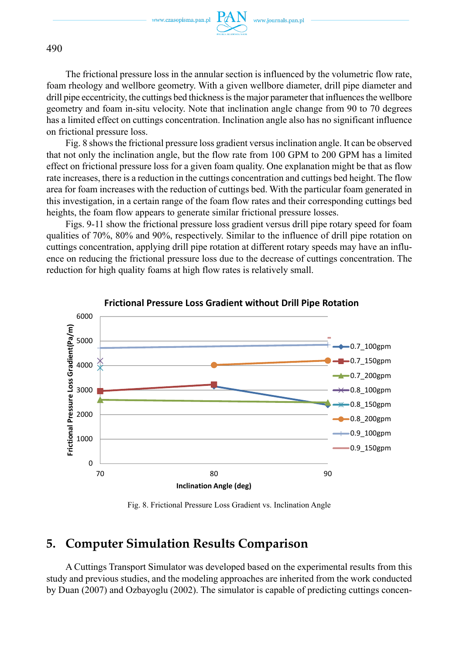www.czasopisma.pan.pl



490

The frictional pressure loss in the annular section is influenced by the volumetric flow rate, foam rheology and wellbore geometry. With a given wellbore diameter, drill pipe diameter and drill pipe eccentricity, the cuttings bed thickness is the major parameter that influences the wellbore geometry and foam in-situ velocity. Note that inclination angle change from 90 to 70 degrees has a limited effect on cuttings concentration. Inclination angle also has no significant influence on frictional pressure loss.

Fig. 8 shows the frictional pressure loss gradient versus inclination angle. It can be observed that not only the inclination angle, but the flow rate from 100 GPM to 200 GPM has a limited effect on frictional pressure loss for a given foam quality. One explanation might be that as flow rate increases, there is a reduction in the cuttings concentration and cuttings bed height. The flow area for foam increases with the reduction of cuttings bed. With the particular foam generated in this investigation, in a certain range of the foam flow rates and their corresponding cuttings bed heights, the foam flow appears to generate similar frictional pressure losses.

Figs. 9-11 show the frictional pressure loss gradient versus drill pipe rotary speed for foam qualities of 70%, 80% and 90%, respectively. Similar to the influence of drill pipe rotation on cuttings concentration, applying drill pipe rotation at different rotary speeds may have an influence on reducing the frictional pressure loss due to the decrease of cuttings concentration. The reduction for high quality foams at high flow rates is relatively small.



### **Frictional Pressure Loss Gradient without Drill Pipe Rotation**

Fig. 8. Frictional Pressure Loss Gradient vs. Inclination Angle

# **5. Computer Simulation Results Comparison**

A Cuttings Transport Simulator was developed based on the experimental results from this study and previous studies, and the modeling approaches are inherited from the work conducted by Duan (2007) and Ozbayoglu (2002). The simulator is capable of predicting cuttings concen-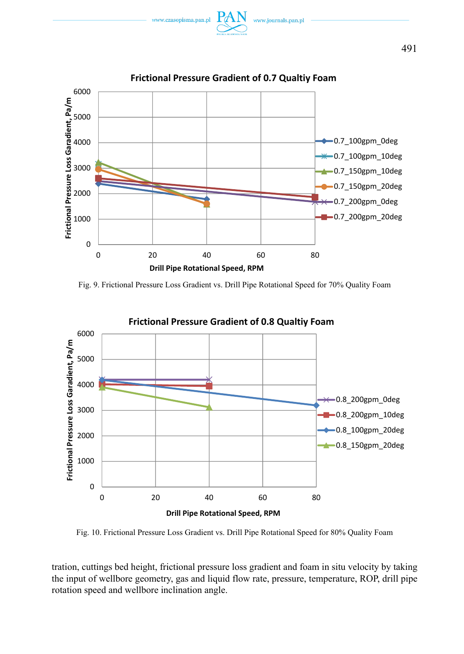



Fig. 9. Frictional Pressure Loss Gradient vs. Drill Pipe Rotational Speed for 70% Quality Foam



**Frictional Pressure Gradient of 0.8 Qualtiy Foam**

Fig. 10. Frictional Pressure Loss Gradient vs. Drill Pipe Rotational Speed for 80% Quality Foam

tration, cuttings bed height, frictional pressure loss gradient and foam in situ velocity by taking the input of wellbore geometry, gas and liquid flow rate, pressure, temperature, ROP, drill pipe rotation speed and wellbore inclination angle.

491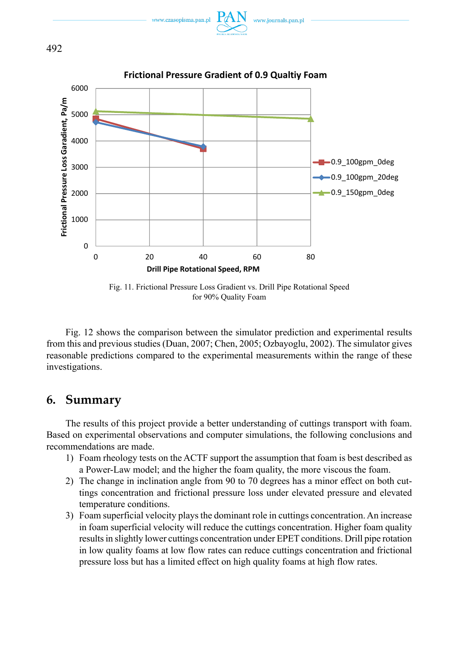

www.journals.pan.p

www.czasopisma.pan.p

Fig. 11. Frictional Pressure Loss Gradient vs. Drill Pipe Rotational Speed for 90% Quality Foam

Fig. 12 shows the comparison between the simulator prediction and experimental results from this and previous studies (Duan, 2007; Chen, 2005; Ozbayoglu, 2002). The simulator gives reasonable predictions compared to the experimental measurements within the range of these investigations.

## **6. Summary**

The results of this project provide a better understanding of cuttings transport with foam. Based on experimental observations and computer simulations, the following conclusions and recommendations are made.

- 1) Foam rheology tests on the ACTF support the assumption that foam is best described as a Power-Law model; and the higher the foam quality, the more viscous the foam.
- 2) The change in inclination angle from 90 to 70 degrees has a minor effect on both cuttings concentration and frictional pressure loss under elevated pressure and elevated temperature conditions.
- 3) Foam superficial velocity plays the dominant role in cuttings concentration. An increase in foam superficial velocity will reduce the cuttings concentration. Higher foam quality results in slightly lower cuttings concentration under EPET conditions. Drill pipe rotation in low quality foams at low flow rates can reduce cuttings concentration and frictional pressure loss but has a limited effect on high quality foams at high flow rates.

492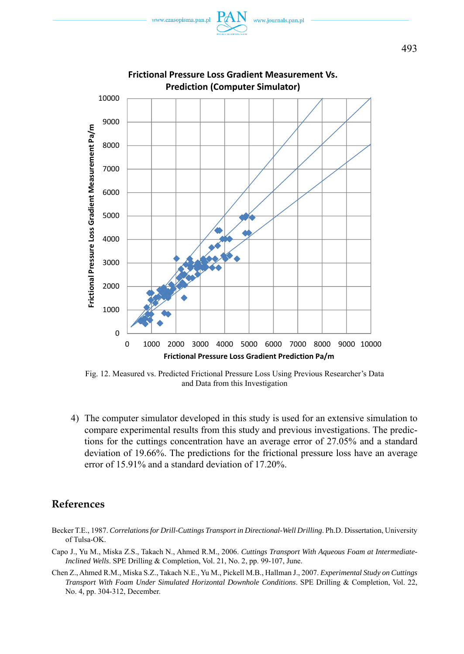



Fig. 12. Measured vs. Predicted Frictional Pressure Loss Using Previous Researcher's Data and Data from this Investigation

4) The computer simulator developed in this study is used for an extensive simulation to compare experimental results from this study and previous investigations. The predictions for the cuttings concentration have an average error of 27.05% and a standard deviation of 19.66%. The predictions for the frictional pressure loss have an average error of 15.91% and a standard deviation of 17.20%.

## **References**

- Becker T.E., 1987. *Correlations for Drill-Cuttings Transport in Directional-Well Drilling*. Ph.D. Dissertation, University of Tulsa-OK.
- Capo J., Yu M., Miska Z.S., Takach N., Ahmed R.M., 2006. *Cuttings Transport With Aqueous Foam at Intermediate-Inclined Wells*. SPE Drilling & Completion, Vol. 21, No. 2, pp. 99-107, June.
- Chen Z., Ahmed R.M., Miska S.Z., Takach N.E., Yu M., Pickell M.B., Hallman J., 2007. *Experimental Study on Cuttings Transport With Foam Under Simulated Horizontal Downhole Conditions*. SPE Drilling & Completion, Vol. 22, No. 4, pp. 304-312, December.